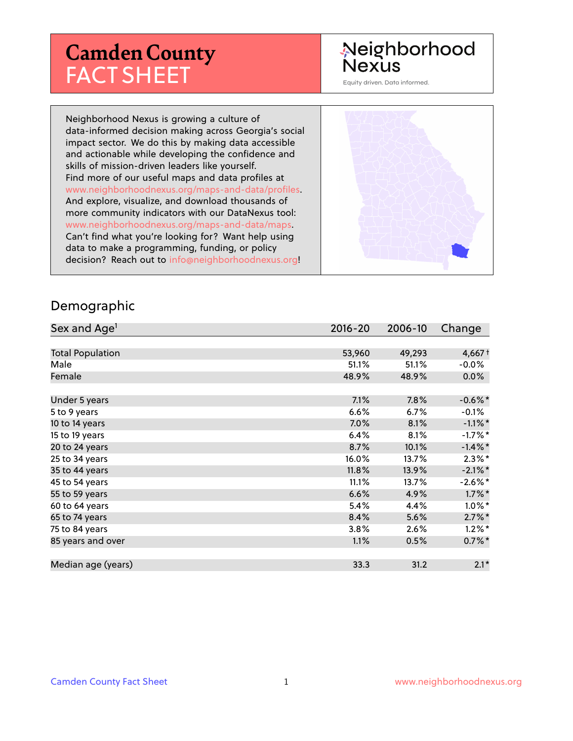# **Camden County** FACT SHEET

# Neighborhood **Nexus**

Equity driven. Data informed.

Neighborhood Nexus is growing a culture of data-informed decision making across Georgia's social impact sector. We do this by making data accessible and actionable while developing the confidence and skills of mission-driven leaders like yourself. Find more of our useful maps and data profiles at www.neighborhoodnexus.org/maps-and-data/profiles. And explore, visualize, and download thousands of more community indicators with our DataNexus tool: www.neighborhoodnexus.org/maps-and-data/maps. Can't find what you're looking for? Want help using data to make a programming, funding, or policy decision? Reach out to [info@neighborhoodnexus.org!](mailto:info@neighborhoodnexus.org)



#### Demographic

| Sex and Age <sup>1</sup> | $2016 - 20$ | 2006-10 | Change               |
|--------------------------|-------------|---------|----------------------|
|                          |             |         |                      |
| <b>Total Population</b>  | 53,960      | 49,293  | $4,667+$             |
| Male                     | 51.1%       | 51.1%   | $-0.0%$              |
| Female                   | 48.9%       | 48.9%   | $0.0\%$              |
|                          |             |         |                      |
| Under 5 years            | 7.1%        | 7.8%    | $-0.6\%$ *           |
| 5 to 9 years             | 6.6%        | $6.7\%$ | $-0.1\%$             |
| 10 to 14 years           | 7.0%        | 8.1%    | $-1.1\%$ *           |
| 15 to 19 years           | 6.4%        | 8.1%    | $-1.7%$ *            |
| 20 to 24 years           | 8.7%        | 10.1%   | $-1.4\%$ *           |
| 25 to 34 years           | 16.0%       | 13.7%   | $2.3\%$ *            |
| 35 to 44 years           | 11.8%       | 13.9%   | $-2.1\%$ *           |
| 45 to 54 years           | 11.1%       | 13.7%   | $-2.6\%$ *           |
| 55 to 59 years           | 6.6%        | 4.9%    | $1.7\%$ *            |
| 60 to 64 years           | 5.4%        | 4.4%    | $1.0\%$ *            |
| 65 to 74 years           | 8.4%        | 5.6%    | $2.7\%$ <sup>*</sup> |
| 75 to 84 years           | 3.8%        | 2.6%    | $1.2\%$ *            |
| 85 years and over        | 1.1%        | 0.5%    | $0.7\%$ *            |
|                          |             |         |                      |
| Median age (years)       | 33.3        | 31.2    | $2.1*$               |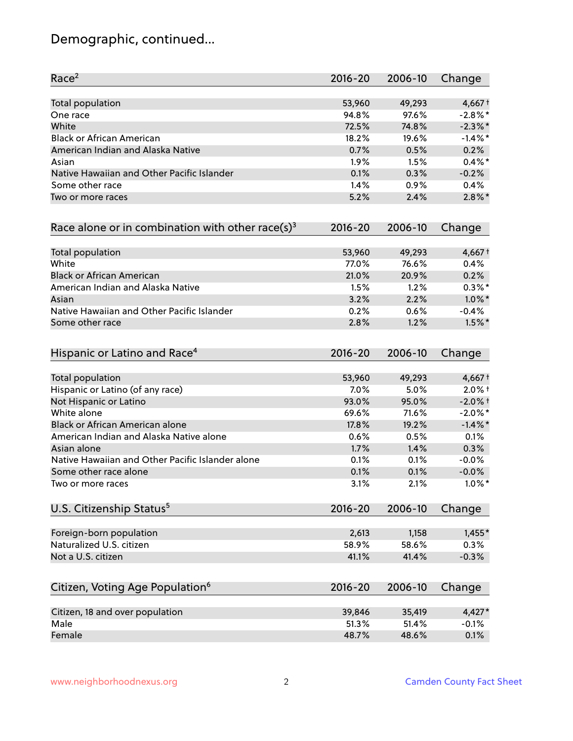# Demographic, continued...

| Race <sup>2</sup>                                            | $2016 - 20$ | 2006-10 | Change     |
|--------------------------------------------------------------|-------------|---------|------------|
| <b>Total population</b>                                      | 53,960      | 49,293  | $4,667+$   |
| One race                                                     | 94.8%       | 97.6%   | $-2.8\%$ * |
| White                                                        | 72.5%       | 74.8%   | $-2.3\%$ * |
| <b>Black or African American</b>                             | 18.2%       | 19.6%   | $-1.4\%$ * |
| American Indian and Alaska Native                            | 0.7%        | 0.5%    | 0.2%       |
| Asian                                                        | 1.9%        | 1.5%    | $0.4\%$ *  |
| Native Hawaiian and Other Pacific Islander                   | 0.1%        | 0.3%    | $-0.2%$    |
| Some other race                                              | 1.4%        | 0.9%    | 0.4%       |
| Two or more races                                            | 5.2%        | 2.4%    | $2.8\%$ *  |
| Race alone or in combination with other race(s) <sup>3</sup> | $2016 - 20$ | 2006-10 | Change     |
| Total population                                             | 53,960      | 49,293  | $4,667+$   |
| White                                                        | 77.0%       | 76.6%   | 0.4%       |
| <b>Black or African American</b>                             | 21.0%       | 20.9%   | 0.2%       |
| American Indian and Alaska Native                            | 1.5%        | 1.2%    | $0.3\%$ *  |
| Asian                                                        | 3.2%        | 2.2%    | $1.0\%$ *  |
| Native Hawaiian and Other Pacific Islander                   | 0.2%        | 0.6%    | $-0.4%$    |
| Some other race                                              | 2.8%        | 1.2%    | $1.5\%$ *  |
| Hispanic or Latino and Race <sup>4</sup>                     | $2016 - 20$ | 2006-10 | Change     |
| <b>Total population</b>                                      | 53,960      | 49,293  | $4,667+$   |
| Hispanic or Latino (of any race)                             | 7.0%        | 5.0%    | $2.0\%$ t  |
| Not Hispanic or Latino                                       | 93.0%       | 95.0%   | $-2.0\%$ + |
| White alone                                                  | 69.6%       | 71.6%   | $-2.0\%$ * |
| Black or African American alone                              | 17.8%       | 19.2%   | $-1.4\%$ * |
| American Indian and Alaska Native alone                      | 0.6%        | 0.5%    | 0.1%       |
| Asian alone                                                  | 1.7%        | 1.4%    | 0.3%       |
| Native Hawaiian and Other Pacific Islander alone             | 0.1%        | 0.1%    | $-0.0%$    |
| Some other race alone                                        | 0.1%        | 0.1%    | $-0.0\%$   |
| Two or more races                                            | 3.1%        | 2.1%    | $1.0\%$ *  |
| U.S. Citizenship Status <sup>5</sup>                         | $2016 - 20$ | 2006-10 | Change     |
| Foreign-born population                                      | 2,613       | 1,158   | $1,455*$   |
| Naturalized U.S. citizen                                     | 58.9%       | 58.6%   | 0.3%       |
| Not a U.S. citizen                                           | 41.1%       | 41.4%   | $-0.3%$    |
|                                                              |             |         |            |
| Citizen, Voting Age Population <sup>6</sup>                  | $2016 - 20$ | 2006-10 | Change     |
| Citizen, 18 and over population                              | 39,846      | 35,419  | $4,427*$   |
| Male                                                         | 51.3%       | 51.4%   | $-0.1%$    |
| Female                                                       | 48.7%       | 48.6%   | 0.1%       |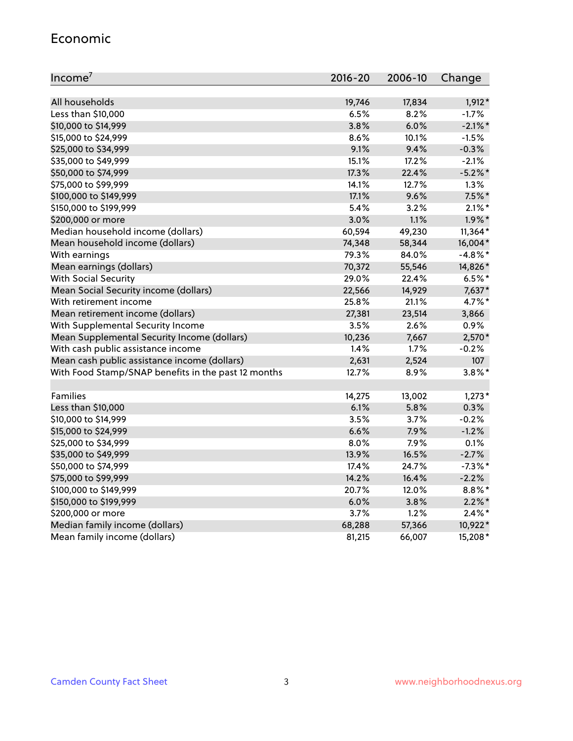#### Economic

| Income <sup>7</sup>                                 | $2016 - 20$ | 2006-10 | Change     |
|-----------------------------------------------------|-------------|---------|------------|
|                                                     |             |         |            |
| All households                                      | 19,746      | 17,834  | $1,912*$   |
| Less than \$10,000                                  | 6.5%        | 8.2%    | $-1.7%$    |
| \$10,000 to \$14,999                                | 3.8%        | 6.0%    | $-2.1\%$ * |
| \$15,000 to \$24,999                                | 8.6%        | 10.1%   | $-1.5%$    |
| \$25,000 to \$34,999                                | 9.1%        | 9.4%    | $-0.3%$    |
| \$35,000 to \$49,999                                | 15.1%       | 17.2%   | $-2.1%$    |
| \$50,000 to \$74,999                                | 17.3%       | 22.4%   | $-5.2\%$ * |
| \$75,000 to \$99,999                                | 14.1%       | 12.7%   | 1.3%       |
| \$100,000 to \$149,999                              | 17.1%       | 9.6%    | $7.5%$ *   |
| \$150,000 to \$199,999                              | 5.4%        | 3.2%    | $2.1\%$ *  |
| \$200,000 or more                                   | 3.0%        | 1.1%    | $1.9\%$ *  |
| Median household income (dollars)                   | 60,594      | 49,230  | $11,364*$  |
| Mean household income (dollars)                     | 74,348      | 58,344  | 16,004*    |
| With earnings                                       | 79.3%       | 84.0%   | $-4.8\%$ * |
| Mean earnings (dollars)                             | 70,372      | 55,546  | 14,826*    |
| <b>With Social Security</b>                         | 29.0%       | 22.4%   | $6.5%$ *   |
| Mean Social Security income (dollars)               | 22,566      | 14,929  | 7,637*     |
| With retirement income                              | 25.8%       | 21.1%   | 4.7%*      |
| Mean retirement income (dollars)                    | 27,381      | 23,514  | 3,866      |
| With Supplemental Security Income                   | 3.5%        | $2.6\%$ | 0.9%       |
| Mean Supplemental Security Income (dollars)         | 10,236      | 7,667   | 2,570*     |
| With cash public assistance income                  | 1.4%        | 1.7%    | $-0.2%$    |
| Mean cash public assistance income (dollars)        | 2,631       | 2,524   | 107        |
| With Food Stamp/SNAP benefits in the past 12 months | 12.7%       | 8.9%    | $3.8\%$ *  |
|                                                     |             |         |            |
| Families                                            | 14,275      | 13,002  | $1,273*$   |
| Less than \$10,000                                  | 6.1%        | 5.8%    | 0.3%       |
| \$10,000 to \$14,999                                | 3.5%        | 3.7%    | $-0.2%$    |
| \$15,000 to \$24,999                                | 6.6%        | 7.9%    | $-1.2%$    |
| \$25,000 to \$34,999                                | 8.0%        | 7.9%    | 0.1%       |
| \$35,000 to \$49,999                                | 13.9%       | 16.5%   | $-2.7%$    |
| \$50,000 to \$74,999                                | 17.4%       | 24.7%   | $-7.3\%$ * |
| \$75,000 to \$99,999                                | 14.2%       | 16.4%   | $-2.2%$    |
| \$100,000 to \$149,999                              | 20.7%       | 12.0%   | $8.8\%$ *  |
| \$150,000 to \$199,999                              | 6.0%        | 3.8%    | $2.2\%$ *  |
| \$200,000 or more                                   | 3.7%        | 1.2%    | $2.4\%$ *  |
| Median family income (dollars)                      | 68,288      | 57,366  | 10,922*    |
| Mean family income (dollars)                        | 81,215      | 66,007  | 15,208*    |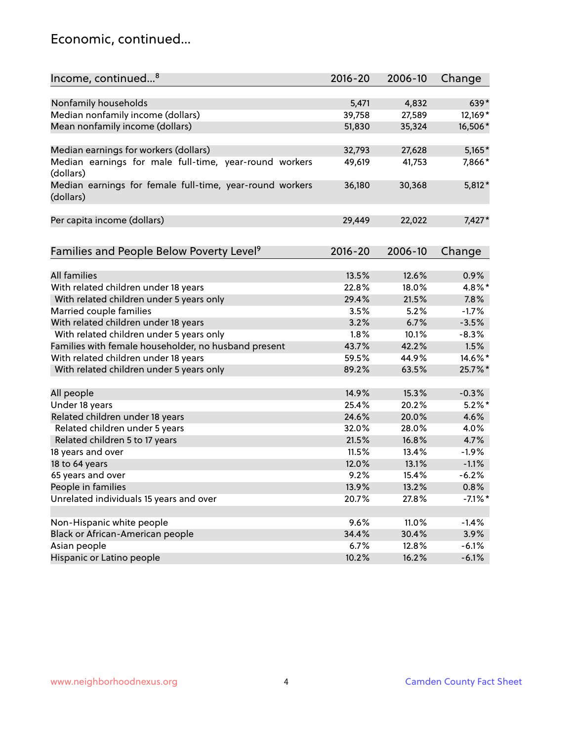### Economic, continued...

| Income, continued <sup>8</sup>                                        | $2016 - 20$ | 2006-10 | Change     |
|-----------------------------------------------------------------------|-------------|---------|------------|
|                                                                       |             |         |            |
| Nonfamily households                                                  | 5,471       | 4,832   | 639*       |
| Median nonfamily income (dollars)                                     | 39,758      | 27,589  | 12,169*    |
| Mean nonfamily income (dollars)                                       | 51,830      | 35,324  | 16,506*    |
| Median earnings for workers (dollars)                                 | 32,793      | 27,628  | $5,165*$   |
| Median earnings for male full-time, year-round workers<br>(dollars)   | 49,619      | 41,753  | 7,866*     |
| Median earnings for female full-time, year-round workers<br>(dollars) | 36,180      | 30,368  | $5,812*$   |
| Per capita income (dollars)                                           | 29,449      | 22,022  | $7,427*$   |
| Families and People Below Poverty Level <sup>9</sup>                  | 2016-20     | 2006-10 | Change     |
|                                                                       |             |         |            |
| <b>All families</b>                                                   | 13.5%       | 12.6%   | 0.9%       |
| With related children under 18 years                                  | 22.8%       | 18.0%   | 4.8%*      |
| With related children under 5 years only                              | 29.4%       | 21.5%   | 7.8%       |
| Married couple families                                               | 3.5%        | 5.2%    | $-1.7%$    |
| With related children under 18 years                                  | 3.2%        | 6.7%    | $-3.5%$    |
| With related children under 5 years only                              | 1.8%        | 10.1%   | $-8.3%$    |
| Families with female householder, no husband present                  | 43.7%       | 42.2%   | 1.5%       |
| With related children under 18 years                                  | 59.5%       | 44.9%   | 14.6%*     |
| With related children under 5 years only                              | 89.2%       | 63.5%   | 25.7%*     |
| All people                                                            | 14.9%       | 15.3%   | $-0.3%$    |
| Under 18 years                                                        | 25.4%       | 20.2%   | $5.2\%$ *  |
| Related children under 18 years                                       | 24.6%       | 20.0%   | 4.6%       |
| Related children under 5 years                                        | 32.0%       | 28.0%   | 4.0%       |
| Related children 5 to 17 years                                        | 21.5%       | 16.8%   | 4.7%       |
| 18 years and over                                                     | 11.5%       | 13.4%   | $-1.9%$    |
| 18 to 64 years                                                        | 12.0%       | 13.1%   | $-1.1%$    |
| 65 years and over                                                     | 9.2%        | 15.4%   | $-6.2%$    |
| People in families                                                    | 13.9%       | 13.2%   | 0.8%       |
| Unrelated individuals 15 years and over                               | 20.7%       | 27.8%   | $-7.1\%$ * |
|                                                                       |             |         |            |
| Non-Hispanic white people                                             | 9.6%        | 11.0%   | $-1.4%$    |
| Black or African-American people                                      | 34.4%       | 30.4%   | 3.9%       |
| Asian people                                                          | 6.7%        | 12.8%   | $-6.1%$    |
| Hispanic or Latino people                                             | 10.2%       | 16.2%   | $-6.1%$    |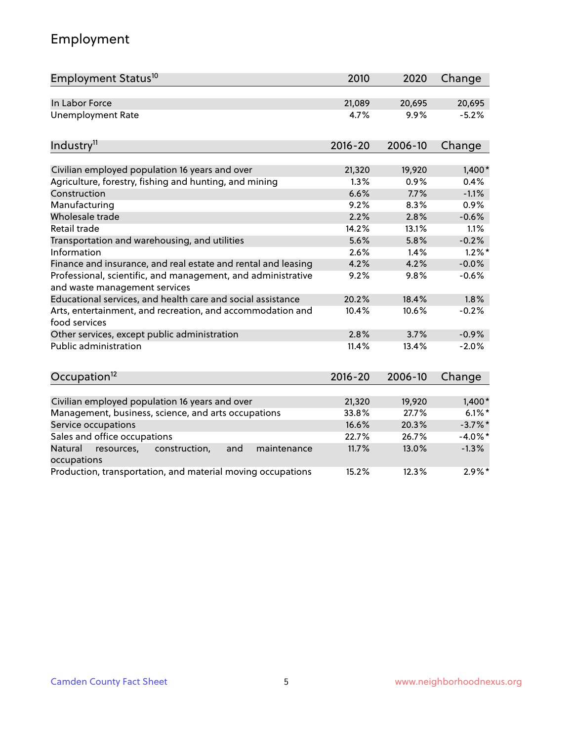# Employment

| Employment Status <sup>10</sup>                                                               | 2010        | 2020    | Change     |
|-----------------------------------------------------------------------------------------------|-------------|---------|------------|
| In Labor Force                                                                                | 21,089      | 20,695  | 20,695     |
| <b>Unemployment Rate</b>                                                                      | 4.7%        | 9.9%    | $-5.2%$    |
| Industry <sup>11</sup>                                                                        | $2016 - 20$ | 2006-10 | Change     |
|                                                                                               |             |         |            |
| Civilian employed population 16 years and over                                                | 21,320      | 19,920  | $1,400*$   |
| Agriculture, forestry, fishing and hunting, and mining                                        | 1.3%        | 0.9%    | 0.4%       |
| Construction                                                                                  | 6.6%        | 7.7%    | $-1.1%$    |
| Manufacturing                                                                                 | 9.2%        | 8.3%    | 0.9%       |
| Wholesale trade                                                                               | 2.2%        | 2.8%    | $-0.6%$    |
| Retail trade                                                                                  | 14.2%       | 13.1%   | 1.1%       |
| Transportation and warehousing, and utilities                                                 | 5.6%        | 5.8%    | $-0.2%$    |
| Information                                                                                   | 2.6%        | 1.4%    | $1.2\%$ *  |
| Finance and insurance, and real estate and rental and leasing                                 | 4.2%        | 4.2%    | $-0.0%$    |
| Professional, scientific, and management, and administrative<br>and waste management services | 9.2%        | 9.8%    | $-0.6%$    |
| Educational services, and health care and social assistance                                   | 20.2%       | 18.4%   | 1.8%       |
| Arts, entertainment, and recreation, and accommodation and<br>food services                   | 10.4%       | 10.6%   | $-0.2%$    |
| Other services, except public administration                                                  | 2.8%        | 3.7%    | $-0.9%$    |
| Public administration                                                                         | 11.4%       | 13.4%   | $-2.0%$    |
| Occupation <sup>12</sup>                                                                      | $2016 - 20$ | 2006-10 | Change     |
|                                                                                               |             |         |            |
| Civilian employed population 16 years and over                                                | 21,320      | 19,920  | $1,400*$   |
| Management, business, science, and arts occupations                                           | 33.8%       | 27.7%   | $6.1\%$ *  |
| Service occupations                                                                           | 16.6%       | 20.3%   | $-3.7\%$ * |
| Sales and office occupations                                                                  | 22.7%       | 26.7%   | $-4.0\%$ * |
| Natural<br>construction,<br>and<br>maintenance<br>resources,<br>occupations                   | 11.7%       | 13.0%   | $-1.3%$    |
| Production, transportation, and material moving occupations                                   | 15.2%       | 12.3%   | $2.9\%$ *  |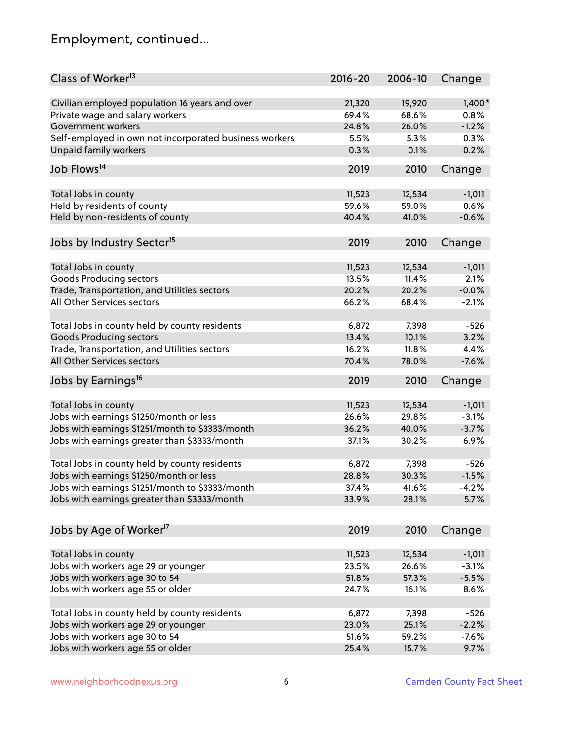# Employment, continued...

| Class of Worker <sup>13</sup>                          | $2016 - 20$ | 2006-10 | Change   |
|--------------------------------------------------------|-------------|---------|----------|
| Civilian employed population 16 years and over         | 21,320      | 19,920  | $1,400*$ |
| Private wage and salary workers                        | 69.4%       | 68.6%   | 0.8%     |
| Government workers                                     | 24.8%       | 26.0%   | $-1.2%$  |
| Self-employed in own not incorporated business workers | 5.5%        | 5.3%    | 0.3%     |
| Unpaid family workers                                  | 0.3%        | 0.1%    | 0.2%     |
| Job Flows <sup>14</sup>                                | 2019        | 2010    | Change   |
|                                                        |             |         |          |
| Total Jobs in county                                   | 11,523      | 12,534  | $-1,011$ |
| Held by residents of county                            | 59.6%       | 59.0%   | 0.6%     |
| Held by non-residents of county                        | 40.4%       | 41.0%   | $-0.6%$  |
| Jobs by Industry Sector <sup>15</sup>                  | 2019        | 2010    | Change   |
| Total Jobs in county                                   | 11,523      | 12,534  | $-1,011$ |
| Goods Producing sectors                                | 13.5%       | 11.4%   | 2.1%     |
| Trade, Transportation, and Utilities sectors           | 20.2%       | 20.2%   | $-0.0%$  |
| All Other Services sectors                             | 66.2%       | 68.4%   | $-2.1%$  |
|                                                        |             |         |          |
| Total Jobs in county held by county residents          | 6,872       | 7,398   | $-526$   |
| <b>Goods Producing sectors</b>                         | 13.4%       | 10.1%   | 3.2%     |
| Trade, Transportation, and Utilities sectors           | 16.2%       | 11.8%   | 4.4%     |
| All Other Services sectors                             | 70.4%       | 78.0%   | $-7.6%$  |
| Jobs by Earnings <sup>16</sup>                         | 2019        | 2010    | Change   |
|                                                        |             |         |          |
| Total Jobs in county                                   | 11,523      | 12,534  | $-1,011$ |
| Jobs with earnings \$1250/month or less                | 26.6%       | 29.8%   | $-3.1%$  |
| Jobs with earnings \$1251/month to \$3333/month        | 36.2%       | 40.0%   | $-3.7%$  |
| Jobs with earnings greater than \$3333/month           | 37.1%       | 30.2%   | 6.9%     |
| Total Jobs in county held by county residents          | 6,872       | 7,398   | $-526$   |
| Jobs with earnings \$1250/month or less                | 28.8%       | 30.3%   | $-1.5%$  |
| Jobs with earnings \$1251/month to \$3333/month        | 37.4%       | 41.6%   | $-4.2\%$ |
| Jobs with earnings greater than \$3333/month           | 33.9%       | 28.1%   | 5.7%     |
|                                                        |             |         |          |
| Jobs by Age of Worker <sup>17</sup>                    | 2019        | 2010    | Change   |
| Total Jobs in county                                   | 11,523      | 12,534  | $-1,011$ |
| Jobs with workers age 29 or younger                    | 23.5%       | 26.6%   | $-3.1%$  |
| Jobs with workers age 30 to 54                         | 51.8%       | 57.3%   | $-5.5%$  |
| Jobs with workers age 55 or older                      | 24.7%       | 16.1%   | 8.6%     |
|                                                        |             |         |          |
| Total Jobs in county held by county residents          | 6,872       | 7,398   | $-526$   |
| Jobs with workers age 29 or younger                    | 23.0%       | 25.1%   | $-2.2%$  |
| Jobs with workers age 30 to 54                         | 51.6%       | 59.2%   | $-7.6%$  |
| Jobs with workers age 55 or older                      | 25.4%       | 15.7%   | 9.7%     |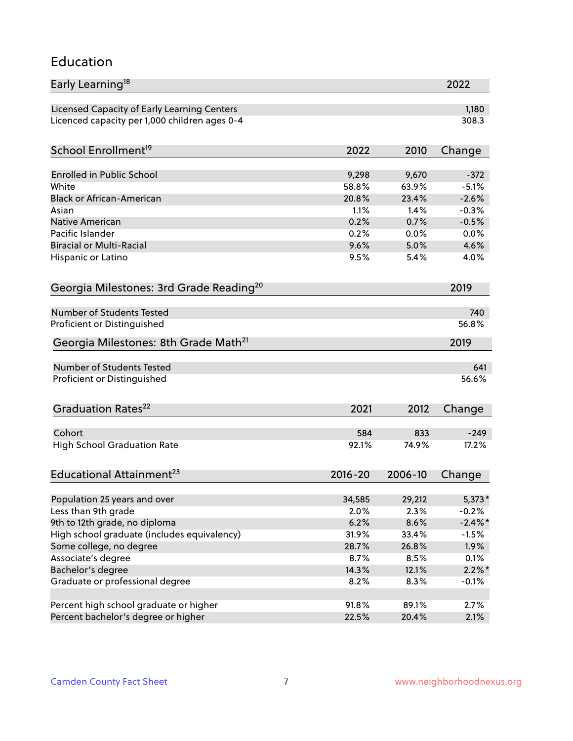#### Education

| Early Learning <sup>18</sup>                        |                |                | 2022              |
|-----------------------------------------------------|----------------|----------------|-------------------|
| Licensed Capacity of Early Learning Centers         |                |                | 1,180             |
| Licenced capacity per 1,000 children ages 0-4       |                |                | 308.3             |
| School Enrollment <sup>19</sup>                     | 2022           | 2010           | Change            |
|                                                     |                |                |                   |
| <b>Enrolled in Public School</b><br>White           | 9,298<br>58.8% | 9,670<br>63.9% | $-372$<br>$-5.1%$ |
| <b>Black or African-American</b>                    | 20.8%          | 23.4%          | $-2.6%$           |
| Asian                                               | 1.1%           | 1.4%           | $-0.3%$           |
| Native American                                     | 0.2%           | 0.7%           | $-0.5%$           |
| Pacific Islander                                    | 0.2%           | 0.0%           | 0.0%              |
| <b>Biracial or Multi-Racial</b>                     | 9.6%           | 5.0%           | 4.6%              |
| Hispanic or Latino                                  | 9.5%           | 5.4%           | 4.0%              |
| Georgia Milestones: 3rd Grade Reading <sup>20</sup> |                |                | 2019              |
|                                                     |                |                |                   |
| Number of Students Tested                           |                |                | 740               |
| Proficient or Distinguished                         |                |                | 56.8%             |
| Georgia Milestones: 8th Grade Math <sup>21</sup>    |                |                | 2019              |
| <b>Number of Students Tested</b>                    |                |                | 641               |
| Proficient or Distinguished                         |                |                | 56.6%             |
| Graduation Rates <sup>22</sup>                      | 2021           | 2012           | Change            |
|                                                     |                |                |                   |
| Cohort                                              | 584            | 833            | $-249$            |
| <b>High School Graduation Rate</b>                  | 92.1%          | 74.9%          | 17.2%             |
| Educational Attainment <sup>23</sup>                | $2016 - 20$    | 2006-10        | Change            |
|                                                     | 34,585         | 29,212         |                   |
| Population 25 years and over<br>Less than 9th grade | 2.0%           | 2.3%           | 5,373*<br>$-0.2%$ |
| 9th to 12th grade, no diploma                       | 6.2%           | 8.6%           | $-2.4\%$ *        |
| High school graduate (includes equivalency)         | 31.9%          | 33.4%          | $-1.5%$           |
| Some college, no degree                             | 28.7%          | 26.8%          | 1.9%              |
| Associate's degree                                  | 8.7%           | 8.5%           | 0.1%              |
| Bachelor's degree                                   | 14.3%          | 12.1%          | $2.2\%$ *         |
| Graduate or professional degree                     | 8.2%           | 8.3%           | $-0.1%$           |
|                                                     |                |                |                   |
| Percent high school graduate or higher              | 91.8%          | 89.1%          | 2.7%              |
| Percent bachelor's degree or higher                 | 22.5%          | 20.4%          | 2.1%              |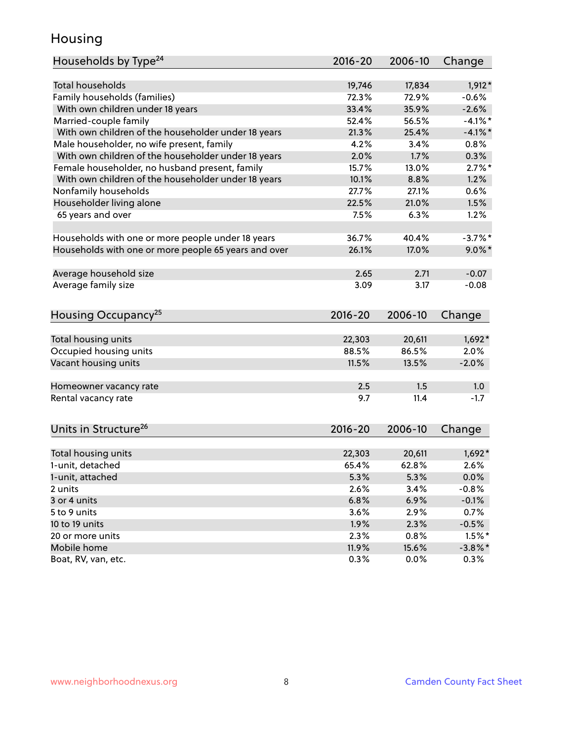### Housing

| Households by Type <sup>24</sup>                     | 2016-20 | 2006-10 | Change     |
|------------------------------------------------------|---------|---------|------------|
|                                                      |         |         |            |
| <b>Total households</b>                              | 19,746  | 17,834  | $1,912*$   |
| Family households (families)                         | 72.3%   | 72.9%   | $-0.6%$    |
| With own children under 18 years                     | 33.4%   | 35.9%   | $-2.6%$    |
| Married-couple family                                | 52.4%   | 56.5%   | $-4.1\%$ * |
| With own children of the householder under 18 years  | 21.3%   | 25.4%   | $-4.1%$    |
| Male householder, no wife present, family            | 4.2%    | 3.4%    | 0.8%       |
| With own children of the householder under 18 years  | 2.0%    | 1.7%    | 0.3%       |
| Female householder, no husband present, family       | 15.7%   | 13.0%   | $2.7\%$ *  |
| With own children of the householder under 18 years  | 10.1%   | 8.8%    | 1.2%       |
| Nonfamily households                                 | 27.7%   | 27.1%   | 0.6%       |
| Householder living alone                             | 22.5%   | 21.0%   | 1.5%       |
| 65 years and over                                    | 7.5%    | 6.3%    | 1.2%       |
|                                                      |         |         |            |
| Households with one or more people under 18 years    | 36.7%   | 40.4%   | $-3.7%$ *  |
| Households with one or more people 65 years and over | 26.1%   | 17.0%   | $9.0\%$ *  |
|                                                      |         |         |            |
| Average household size                               | 2.65    | 2.71    | $-0.07$    |
| Average family size                                  | 3.09    | 3.17    | $-0.08$    |
|                                                      |         |         |            |
| Housing Occupancy <sup>25</sup>                      | 2016-20 | 2006-10 | Change     |
|                                                      |         |         |            |
| Total housing units                                  | 22,303  | 20,611  | $1,692*$   |
| Occupied housing units                               | 88.5%   | 86.5%   | 2.0%       |
| Vacant housing units                                 | 11.5%   | 13.5%   | $-2.0%$    |
|                                                      |         |         |            |
| Homeowner vacancy rate                               | 2.5     | 1.5     | 1.0        |
| Rental vacancy rate                                  | 9.7     | 11.4    | $-1.7$     |
|                                                      |         |         |            |
| Units in Structure <sup>26</sup>                     | 2016-20 | 2006-10 |            |
|                                                      |         |         | Change     |
| Total housing units                                  | 22,303  | 20,611  | $1,692*$   |
| 1-unit, detached                                     | 65.4%   | 62.8%   | 2.6%       |
| 1-unit, attached                                     | 5.3%    | 5.3%    | 0.0%       |
| 2 units                                              | 2.6%    | 3.4%    | $-0.8%$    |
| 3 or 4 units                                         | 6.8%    | 6.9%    | $-0.1%$    |
| 5 to 9 units                                         | 3.6%    | 2.9%    | 0.7%       |
| 10 to 19 units                                       | 1.9%    | 2.3%    | $-0.5%$    |
|                                                      |         |         |            |
| 20 or more units                                     | 2.3%    | 0.8%    | $1.5%$ *   |
| Mobile home                                          | 11.9%   | 15.6%   | $-3.8\%$ * |
| Boat, RV, van, etc.                                  | 0.3%    | $0.0\%$ | 0.3%       |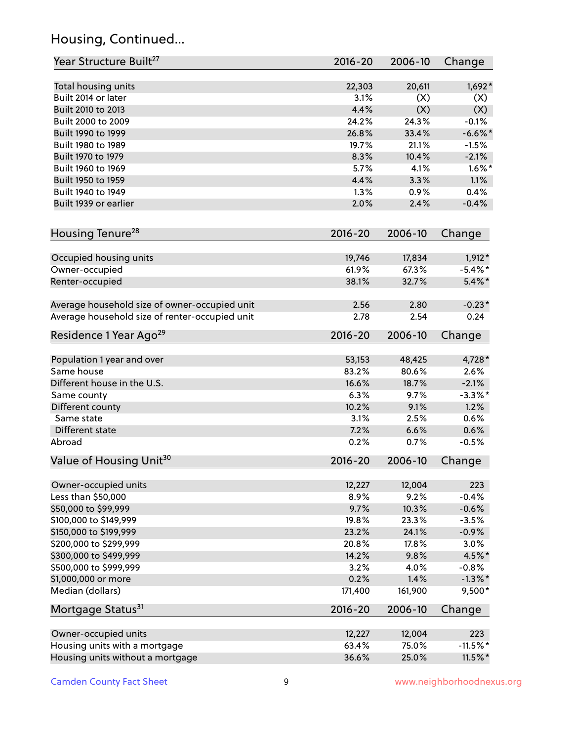# Housing, Continued...

| Year Structure Built <sup>27</sup>             | 2016-20         | 2006-10         | Change                 |
|------------------------------------------------|-----------------|-----------------|------------------------|
| Total housing units                            | 22,303          | 20,611          | $1,692*$               |
| Built 2014 or later                            | 3.1%            | (X)             | (X)                    |
| Built 2010 to 2013                             | 4.4%            | (X)             | (X)                    |
| Built 2000 to 2009                             | 24.2%           | 24.3%           | $-0.1%$                |
| Built 1990 to 1999                             | 26.8%           | 33.4%           | $-6.6\%$ *             |
| Built 1980 to 1989                             | 19.7%           | 21.1%           | $-1.5%$                |
| Built 1970 to 1979                             | 8.3%            | 10.4%           | $-2.1%$                |
| Built 1960 to 1969                             | 5.7%            | 4.1%            | $1.6\%$ *              |
| Built 1950 to 1959                             | 4.4%            | 3.3%            | 1.1%                   |
| Built 1940 to 1949                             | 1.3%            | 0.9%            | 0.4%                   |
| Built 1939 or earlier                          | 2.0%            | 2.4%            | $-0.4%$                |
| Housing Tenure <sup>28</sup>                   | $2016 - 20$     | 2006-10         | Change                 |
|                                                |                 |                 |                        |
| Occupied housing units                         | 19,746<br>61.9% | 17,834<br>67.3% | $1,912*$<br>$-5.4\%$ * |
| Owner-occupied                                 | 38.1%           | 32.7%           | $5.4\%$ *              |
| Renter-occupied                                |                 |                 |                        |
| Average household size of owner-occupied unit  | 2.56            | 2.80            | $-0.23*$               |
| Average household size of renter-occupied unit | 2.78            | 2.54            | 0.24                   |
| Residence 1 Year Ago <sup>29</sup>             | $2016 - 20$     | 2006-10         | Change                 |
| Population 1 year and over                     | 53,153          | 48,425          | 4,728 *                |
| Same house                                     | 83.2%           | 80.6%           | 2.6%                   |
| Different house in the U.S.                    | 16.6%           | 18.7%           | $-2.1%$                |
| Same county                                    | 6.3%            | 9.7%            | $-3.3\%$ *             |
| Different county                               | 10.2%           | 9.1%            | 1.2%                   |
| Same state                                     | 3.1%            | 2.5%            | 0.6%                   |
| Different state                                | 7.2%            | 6.6%            | 0.6%                   |
| Abroad                                         | 0.2%            | 0.7%            | $-0.5%$                |
| Value of Housing Unit <sup>30</sup>            | $2016 - 20$     | 2006-10         | Change                 |
|                                                |                 |                 |                        |
| Owner-occupied units                           | 12,227          | 12,004          | 223                    |
| Less than \$50,000                             | 8.9%            | 9.2%            | $-0.4%$                |
| \$50,000 to \$99,999                           | 9.7%            | 10.3%           | $-0.6%$                |
| \$100,000 to \$149,999                         | 19.8%           | 23.3%           | $-3.5%$                |
| \$150,000 to \$199,999                         | 23.2%           | 24.1%           | $-0.9%$                |
| \$200,000 to \$299,999                         | 20.8%           | 17.8%           | 3.0%                   |
| \$300,000 to \$499,999                         | 14.2%           | 9.8%            | 4.5%*                  |
| \$500,000 to \$999,999                         | 3.2%            | 4.0%            | $-0.8%$                |
| \$1,000,000 or more<br>Median (dollars)        | 0.2%<br>171,400 | 1.4%<br>161,900 | $-1.3%$ *<br>9,500*    |
|                                                | $2016 - 20$     | 2006-10         |                        |
| Mortgage Status <sup>31</sup>                  |                 |                 | Change                 |
| Owner-occupied units                           | 12,227          | 12,004          | 223                    |
| Housing units with a mortgage                  | 63.4%           | 75.0%           | $-11.5%$ *             |
| Housing units without a mortgage               | 36.6%           | 25.0%           | $11.5\%$ *             |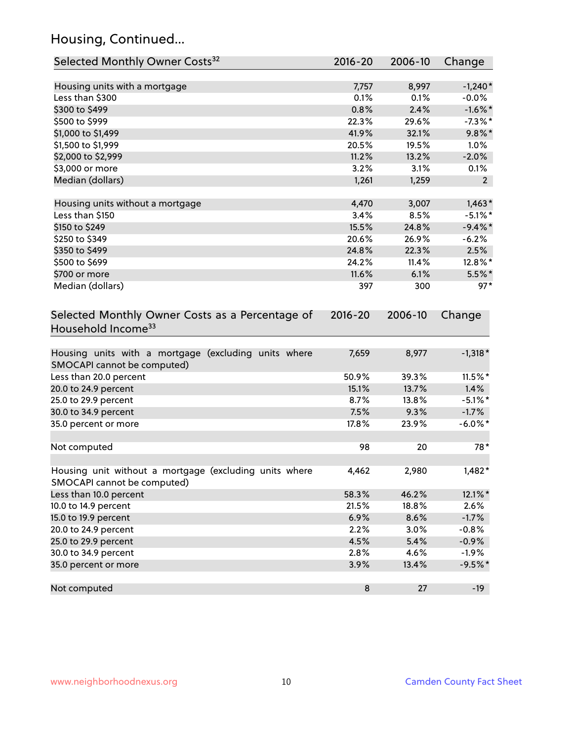# Housing, Continued...

| Selected Monthly Owner Costs <sup>32</sup>                                            | $2016 - 20$ | 2006-10 | Change         |
|---------------------------------------------------------------------------------------|-------------|---------|----------------|
| Housing units with a mortgage                                                         | 7,757       | 8,997   | $-1,240*$      |
| Less than \$300                                                                       | 0.1%        | 0.1%    | $-0.0%$        |
| \$300 to \$499                                                                        | 0.8%        | 2.4%    | $-1.6\%$ *     |
| \$500 to \$999                                                                        | 22.3%       | 29.6%   | $-7.3\%$ *     |
| \$1,000 to \$1,499                                                                    | 41.9%       | 32.1%   | $9.8\%$ *      |
| \$1,500 to \$1,999                                                                    | 20.5%       | 19.5%   | 1.0%           |
| \$2,000 to \$2,999                                                                    | 11.2%       | 13.2%   | $-2.0%$        |
| \$3,000 or more                                                                       | 3.2%        | 3.1%    | 0.1%           |
| Median (dollars)                                                                      | 1,261       | 1,259   | 2 <sup>2</sup> |
| Housing units without a mortgage                                                      | 4,470       | 3,007   | $1,463*$       |
| Less than \$150                                                                       | 3.4%        | 8.5%    | $-5.1\%$ *     |
| \$150 to \$249                                                                        | 15.5%       | 24.8%   | $-9.4\%$ *     |
| \$250 to \$349                                                                        | 20.6%       | 26.9%   | $-6.2%$        |
| \$350 to \$499                                                                        | 24.8%       | 22.3%   | 2.5%           |
| \$500 to \$699                                                                        | 24.2%       | 11.4%   | 12.8%*         |
| \$700 or more                                                                         | 11.6%       | 6.1%    | $5.5%$ *       |
| Median (dollars)                                                                      | 397         | 300     | $97*$          |
| Selected Monthly Owner Costs as a Percentage of<br>Household Income <sup>33</sup>     | $2016 - 20$ | 2006-10 | Change         |
| Housing units with a mortgage (excluding units where<br>SMOCAPI cannot be computed)   | 7,659       | 8,977   | $-1,318*$      |
| Less than 20.0 percent                                                                | 50.9%       | 39.3%   | 11.5%*         |
| 20.0 to 24.9 percent                                                                  | 15.1%       | 13.7%   | 1.4%           |
| 25.0 to 29.9 percent                                                                  | 8.7%        | 13.8%   | $-5.1\%$ *     |
| 30.0 to 34.9 percent                                                                  | 7.5%        | 9.3%    | $-1.7%$        |
| 35.0 percent or more                                                                  | 17.8%       | 23.9%   | $-6.0\%$ *     |
| Not computed                                                                          | 98          | 20      | 78*            |
| Housing unit without a mortgage (excluding units where<br>SMOCAPI cannot be computed) | 4,462       | 2,980   | $1,482*$       |
| Less than 10.0 percent                                                                | 58.3%       | 46.2%   | 12.1%*         |
| 10.0 to 14.9 percent                                                                  | 21.5%       | 18.8%   | 2.6%           |
| 15.0 to 19.9 percent                                                                  | 6.9%        | 8.6%    | $-1.7%$        |
| 20.0 to 24.9 percent                                                                  | 2.2%        | 3.0%    | $-0.8%$        |
| 25.0 to 29.9 percent                                                                  | 4.5%        | 5.4%    | $-0.9%$        |
| 30.0 to 34.9 percent                                                                  | 2.8%        | 4.6%    | $-1.9%$        |
| 35.0 percent or more                                                                  | 3.9%        | 13.4%   | $-9.5%$ *      |
| Not computed                                                                          | $\bf 8$     | 27      | $-19$          |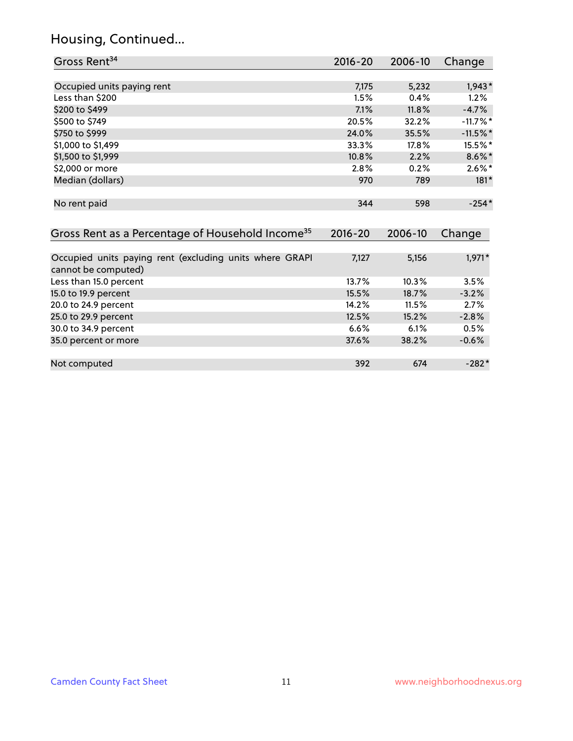# Housing, Continued...

| Gross Rent <sup>34</sup>                                                       | 2016-20     | 2006-10 | Change     |
|--------------------------------------------------------------------------------|-------------|---------|------------|
|                                                                                |             |         |            |
| Occupied units paying rent                                                     | 7,175       | 5,232   | $1,943*$   |
| Less than \$200                                                                | 1.5%        | 0.4%    | 1.2%       |
| \$200 to \$499                                                                 | 7.1%        | 11.8%   | $-4.7%$    |
| \$500 to \$749                                                                 | 20.5%       | 32.2%   | $-11.7%$ * |
| \$750 to \$999                                                                 | 24.0%       | 35.5%   | $-11.5%$ * |
| \$1,000 to \$1,499                                                             | 33.3%       | 17.8%   | 15.5%*     |
| \$1,500 to \$1,999                                                             | 10.8%       | 2.2%    | $8.6\%$ *  |
| \$2,000 or more                                                                | 2.8%        | 0.2%    | $2.6\%*$   |
| Median (dollars)                                                               | 970         | 789     | $181*$     |
| No rent paid                                                                   | 344         | 598     | $-254*$    |
| Gross Rent as a Percentage of Household Income <sup>35</sup>                   | $2016 - 20$ | 2006-10 | Change     |
| Occupied units paying rent (excluding units where GRAPI<br>cannot be computed) | 7,127       | 5,156   | $1,971*$   |
| Less than 15.0 percent                                                         | 13.7%       | 10.3%   | 3.5%       |
| 15.0 to 19.9 percent                                                           | 15.5%       | 18.7%   | $-3.2%$    |
| 20.0 to 24.9 percent                                                           | 14.2%       | 11.5%   | 2.7%       |
| 25.0 to 29.9 percent                                                           | 12.5%       | 15.2%   | $-2.8%$    |
| 30.0 to 34.9 percent                                                           | 6.6%        | 6.1%    | 0.5%       |
| 35.0 percent or more                                                           | 37.6%       | 38.2%   | $-0.6%$    |
| Not computed                                                                   | 392         | 674     | $-282*$    |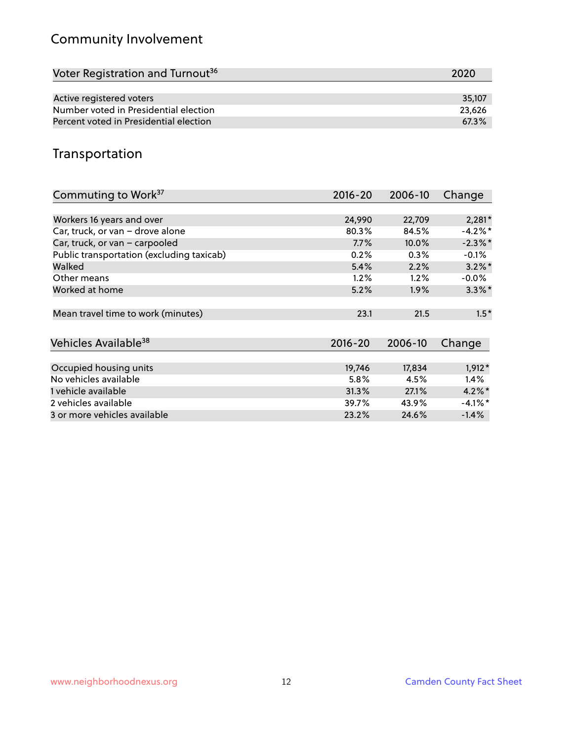# Community Involvement

| Voter Registration and Turnout <sup>36</sup> | 2020   |
|----------------------------------------------|--------|
|                                              |        |
| Active registered voters                     | 35.107 |
| Number voted in Presidential election        | 23,626 |
| Percent voted in Presidential election       | 67.3%  |

## Transportation

| Commuting to Work <sup>37</sup>           | 2016-20     | 2006-10 | Change     |
|-------------------------------------------|-------------|---------|------------|
|                                           |             |         |            |
| Workers 16 years and over                 | 24,990      | 22,709  | $2,281*$   |
| Car, truck, or van - drove alone          | 80.3%       | 84.5%   | $-4.2%$ *  |
| Car, truck, or van - carpooled            | 7.7%        | 10.0%   | $-2.3\%$ * |
| Public transportation (excluding taxicab) | 0.2%        | 0.3%    | $-0.1%$    |
| Walked                                    | 5.4%        | 2.2%    | $3.2\%$ *  |
| Other means                               | 1.2%        | 1.2%    | $-0.0\%$   |
| Worked at home                            | 5.2%        | 1.9%    | $3.3\%$ *  |
|                                           |             |         |            |
| Mean travel time to work (minutes)        | 23.1        | 21.5    | $1.5*$     |
|                                           |             |         |            |
| Vehicles Available <sup>38</sup>          | $2016 - 20$ | 2006-10 | Change     |
|                                           |             |         |            |
| Occupied housing units                    | 19,746      | 17,834  | $1,912*$   |
| No vehicles available                     | 5.8%        | 4.5%    | $1.4\%$    |
| 1 vehicle available                       | 31.3%       | 27.1%   | $4.2\%$ *  |
| 2 vehicles available                      | 39.7%       | 43.9%   | $-4.1\%$ * |
| 3 or more vehicles available              | 23.2%       | 24.6%   | $-1.4%$    |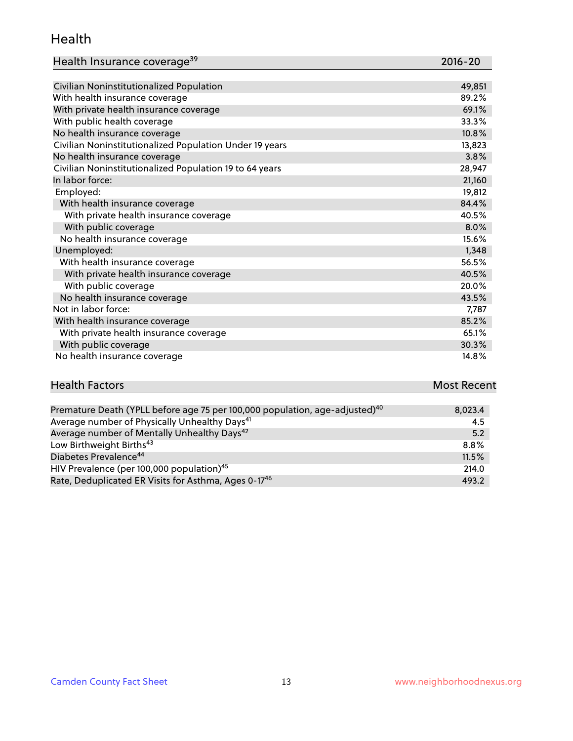#### Health

| Health Insurance coverage <sup>39</sup> | 2016-20 |
|-----------------------------------------|---------|
|-----------------------------------------|---------|

| Civilian Noninstitutionalized Population                | 49,851 |
|---------------------------------------------------------|--------|
| With health insurance coverage                          | 89.2%  |
| With private health insurance coverage                  | 69.1%  |
| With public health coverage                             | 33.3%  |
| No health insurance coverage                            | 10.8%  |
| Civilian Noninstitutionalized Population Under 19 years | 13,823 |
| No health insurance coverage                            | 3.8%   |
| Civilian Noninstitutionalized Population 19 to 64 years | 28,947 |
| In labor force:                                         | 21,160 |
| Employed:                                               | 19,812 |
| With health insurance coverage                          | 84.4%  |
| With private health insurance coverage                  | 40.5%  |
| With public coverage                                    | 8.0%   |
| No health insurance coverage                            | 15.6%  |
| Unemployed:                                             | 1,348  |
| With health insurance coverage                          | 56.5%  |
| With private health insurance coverage                  | 40.5%  |
| With public coverage                                    | 20.0%  |
| No health insurance coverage                            | 43.5%  |
| Not in labor force:                                     | 7,787  |
| With health insurance coverage                          | 85.2%  |
| With private health insurance coverage                  | 65.1%  |
| With public coverage                                    | 30.3%  |
| No health insurance coverage                            | 14.8%  |

| <b>Health Factors</b> | <b>Most Recent</b> |
|-----------------------|--------------------|
|                       |                    |

| Premature Death (YPLL before age 75 per 100,000 population, age-adjusted) <sup>40</sup> | 8,023.4 |
|-----------------------------------------------------------------------------------------|---------|
| Average number of Physically Unhealthy Days <sup>41</sup>                               | 4.5     |
| Average number of Mentally Unhealthy Days <sup>42</sup>                                 | 5.2     |
| Low Birthweight Births <sup>43</sup>                                                    | 8.8%    |
| Diabetes Prevalence <sup>44</sup>                                                       | 11.5%   |
| HIV Prevalence (per 100,000 population) <sup>45</sup>                                   | 214.0   |
| Rate, Deduplicated ER Visits for Asthma, Ages 0-17 <sup>46</sup>                        | 493.2   |